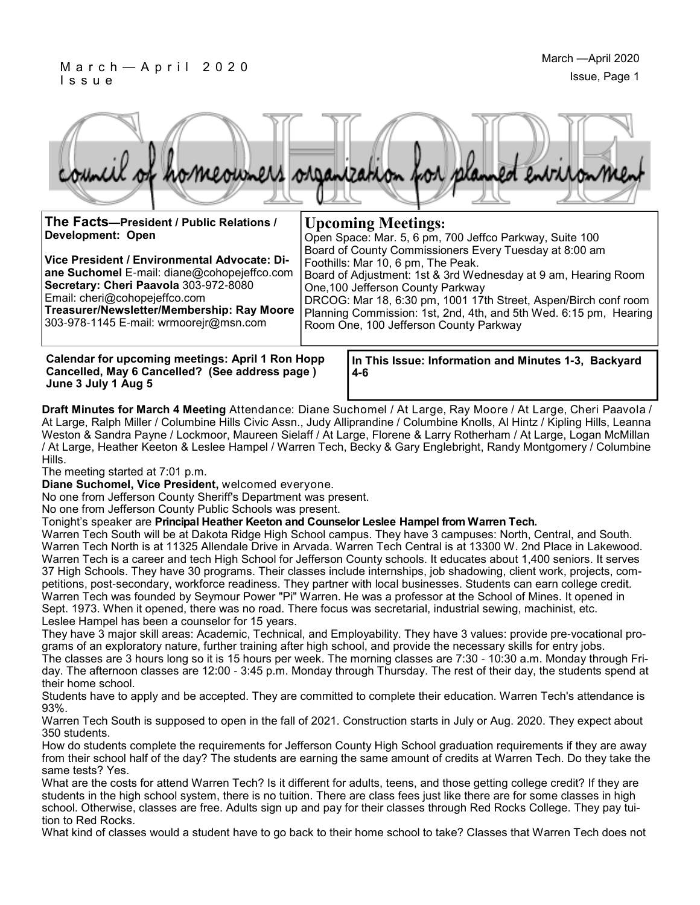

| The Facts-President / Public Relations /<br><b>Development: Open</b><br>Vice President / Environmental Advocate: Di-<br>ane Suchomel E-mail: diane@cohopejeffco.com<br>Secretary: Cheri Paavola 303-972-8080<br>Email: cheri@cohopejeffco.com<br>Treasurer/Newsletter/Membership: Ray Moore<br>303-978-1145 E-mail: wrmoorejr@msn.com | <b>Upcoming Meetings:</b><br>Open Space: Mar. 5, 6 pm, 700 Jeffco Parkway, Suite 100<br>Board of County Commissioners Every Tuesday at 8:00 am<br>Foothills: Mar 10, 6 pm, The Peak.<br>Board of Adjustment: 1st & 3rd Wednesday at 9 am, Hearing Room<br>One, 100 Jefferson County Parkway<br>DRCOG: Mar 18, 6:30 pm, 1001 17th Street, Aspen/Birch conf room<br>Planning Commission: 1st, 2nd, 4th, and 5th Wed. 6:15 pm, Hearing<br>Room One, 100 Jefferson County Parkway |
|---------------------------------------------------------------------------------------------------------------------------------------------------------------------------------------------------------------------------------------------------------------------------------------------------------------------------------------|-------------------------------------------------------------------------------------------------------------------------------------------------------------------------------------------------------------------------------------------------------------------------------------------------------------------------------------------------------------------------------------------------------------------------------------------------------------------------------|
| <b>Calendar for upcoming meetings: April 1 Ron Hopp</b><br>Cancelled, May 6 Cancelled? (See address page)                                                                                                                                                                                                                             | In This Issue: Information and Minutes 1-3, Backyard<br>4-6                                                                                                                                                                                                                                                                                                                                                                                                                   |

**Draft Minutes for March 4 Meeting** Attendance: Diane Suchomel / At Large, Ray Moore / At Large, Cheri Paavola / At Large, Ralph Miller / Columbine Hills Civic Assn., Judy Alliprandine / Columbine Knolls, Al Hintz / Kipling Hills, Leanna Weston & Sandra Payne / Lockmoor, Maureen Sielaff / At Large, Florene & Larry Rotherham / At Large, Logan McMillan / At Large, Heather Keeton & Leslee Hampel / Warren Tech, Becky & Gary Englebright, Randy Montgomery / Columbine Hills.

The meeting started at 7:01 p.m.

**June 3 July 1 Aug 5** 

**Diane Suchomel, Vice President,** welcomed everyone.

No one from Jefferson County Sheriff's Department was present.

No one from Jefferson County Public Schools was present.

Tonight's speaker are **Principal Heather Keeton and Counselor Leslee Hampel from Warren Tech.** 

Warren Tech South will be at Dakota Ridge High School campus. They have 3 campuses: North, Central, and South. Warren Tech North is at 11325 Allendale Drive in Arvada. Warren Tech Central is at 13300 W. 2nd Place in Lakewood. Warren Tech is a career and tech High School for Jefferson County schools. It educates about 1,400 seniors. It serves 37 High Schools. They have 30 programs. Their classes include internships, job shadowing, client work, projects, competitions, post-secondary, workforce readiness. They partner with local businesses. Students can earn college credit. Warren Tech was founded by Seymour Power "Pi" Warren. He was a professor at the School of Mines. It opened in Sept. 1973. When it opened, there was no road. There focus was secretarial, industrial sewing, machinist, etc. Leslee Hampel has been a counselor for 15 years.

They have 3 major skill areas: Academic, Technical, and Employability. They have 3 values: provide pre-vocational programs of an exploratory nature, further training after high school, and provide the necessary skills for entry jobs.

The classes are 3 hours long so it is 15 hours per week. The morning classes are 7:30 - 10:30 a.m. Monday through Friday. The afternoon classes are 12:00 - 3:45 p.m. Monday through Thursday. The rest of their day, the students spend at their home school.

Students have to apply and be accepted. They are committed to complete their education. Warren Tech's attendance is 93%.

Warren Tech South is supposed to open in the fall of 2021. Construction starts in July or Aug. 2020. They expect about 350 students.

How do students complete the requirements for Jefferson County High School graduation requirements if they are away from their school half of the day? The students are earning the same amount of credits at Warren Tech. Do they take the same tests? Yes.

What are the costs for attend Warren Tech? Is it different for adults, teens, and those getting college credit? If they are students in the high school system, there is no tuition. There are class fees just like there are for some classes in high school. Otherwise, classes are free. Adults sign up and pay for their classes through Red Rocks College. They pay tuition to Red Rocks.

What kind of classes would a student have to go back to their home school to take? Classes that Warren Tech does not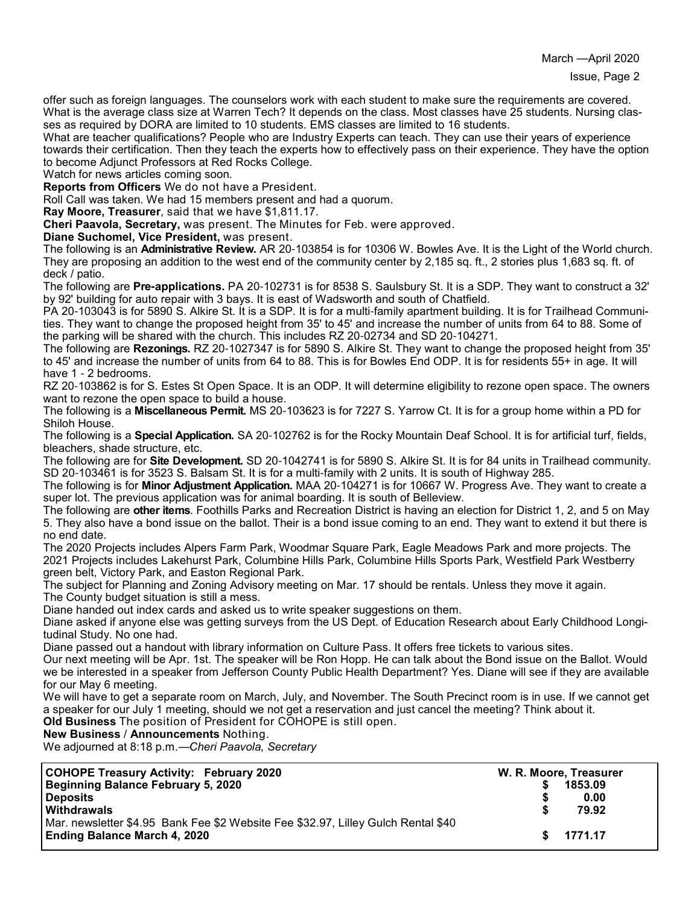offer such as foreign languages. The counselors work with each student to make sure the requirements are covered. What is the average class size at Warren Tech? It depends on the class. Most classes have 25 students. Nursing classes as required by DORA are limited to 10 students. EMS classes are limited to 16 students.

What are teacher qualifications? People who are Industry Experts can teach. They can use their years of experience towards their certification. Then they teach the experts how to effectively pass on their experience. They have the option to become Adjunct Professors at Red Rocks College.

Watch for news articles coming soon.

**Reports from Officers** We do not have a President.

Roll Call was taken. We had 15 members present and had a quorum.

**Ray Moore, Treasurer**, said that we have \$1,811.17.

**Cheri Paavola, Secretary,** was present. The Minutes for Feb. were approved.

**Diane Suchomel, Vice President,** was present.

The following is an **Administrative Review.** AR 20-103854 is for 10306 W. Bowles Ave. It is the Light of the World church. They are proposing an addition to the west end of the community center by 2,185 sq. ft., 2 stories plus 1,683 sq. ft. of deck / patio.

The following are **Pre-applications.** PA 20-102731 is for 8538 S. Saulsbury St. It is a SDP. They want to construct a 32' by 92' building for auto repair with 3 bays. It is east of Wadsworth and south of Chatfield.

PA 20-103043 is for 5890 S. Alkire St. It is a SDP. It is for a multi-family apartment building. It is for Trailhead Communities. They want to change the proposed height from 35' to 45' and increase the number of units from 64 to 88. Some of the parking will be shared with the church. This includes RZ 20-02734 and SD 20-104271.

The following are **Rezonings.** RZ 20-1027347 is for 5890 S. Alkire St. They want to change the proposed height from 35' to 45' and increase the number of units from 64 to 88. This is for Bowles End ODP. It is for residents 55+ in age. It will have 1 - 2 bedrooms.

RZ 20-103862 is for S. Estes St Open Space. It is an ODP. It will determine eligibility to rezone open space. The owners want to rezone the open space to build a house.

The following is a **Miscellaneous Permit.** MS 20-103623 is for 7227 S. Yarrow Ct. It is for a group home within a PD for Shiloh House.

The following is a **Special Application.** SA 20-102762 is for the Rocky Mountain Deaf School. It is for artificial turf, fields, bleachers, shade structure, etc.

The following are for **Site Development.** SD 20-1042741 is for 5890 S. Alkire St. It is for 84 units in Trailhead community. SD 20-103461 is for 3523 S. Balsam St. It is for a multi-family with 2 units. It is south of Highway 285.

The following is for **Minor Adjustment Application.** MAA 20-104271 is for 10667 W. Progress Ave. They want to create a super lot. The previous application was for animal boarding. It is south of Belleview.

The following are **other items**. Foothills Parks and Recreation District is having an election for District 1, 2, and 5 on May 5. They also have a bond issue on the ballot. Their is a bond issue coming to an end. They want to extend it but there is no end date.

The 2020 Projects includes Alpers Farm Park, Woodmar Square Park, Eagle Meadows Park and more projects. The 2021 Projects includes Lakehurst Park, Columbine Hills Park, Columbine Hills Sports Park, Westfield Park Westberry green belt, Victory Park, and Easton Regional Park.

The subject for Planning and Zoning Advisory meeting on Mar. 17 should be rentals. Unless they move it again. The County budget situation is still a mess.

Diane handed out index cards and asked us to write speaker suggestions on them.

Diane asked if anyone else was getting surveys from the US Dept. of Education Research about Early Childhood Longitudinal Study. No one had.

Diane passed out a handout with library information on Culture Pass. It offers free tickets to various sites.

Our next meeting will be Apr. 1st. The speaker will be Ron Hopp. He can talk about the Bond issue on the Ballot. Would we be interested in a speaker from Jefferson County Public Health Department? Yes. Diane will see if they are available for our May 6 meeting.

We will have to get a separate room on March, July, and November. The South Precinct room is in use. If we cannot get a speaker for our July 1 meeting, should we not get a reservation and just cancel the meeting? Think about it.

**Old Business** The position of President for COHOPE is still open.

**New Business** / **Announcements** Nothing.

We adjourned at 8:18 p.m.—*Cheri Paavola, Secretary*

| <b>COHOPE Treasury Activity: February 2020</b>                                    | W. R. Moore, Treasurer |
|-----------------------------------------------------------------------------------|------------------------|
| Beginning Balance February 5, 2020                                                | 1853.09                |
| <b>Deposits</b>                                                                   | 0.00                   |
| <b>Withdrawals</b>                                                                | 79.92                  |
| Mar. newsletter \$4.95 Bank Fee \$2 Website Fee \$32.97, Lilley Gulch Rental \$40 |                        |
| Ending Balance March 4, 2020                                                      | \$ 1771.17             |
|                                                                                   |                        |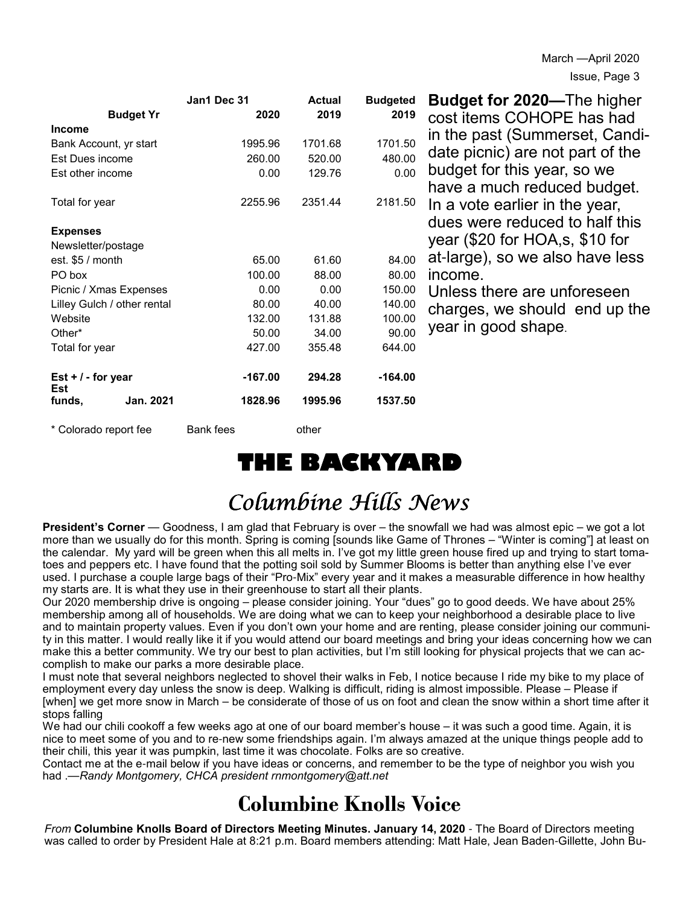| <b>Budget Yr</b>            | Jan1 Dec 31<br>2020 | <b>Actual</b><br>2019 | <b>Budgeted</b><br>2019 | <b>Budget for 2020</b> —The higher |
|-----------------------------|---------------------|-----------------------|-------------------------|------------------------------------|
| <b>Income</b>               |                     |                       |                         | cost items COHOPE has had          |
| Bank Account, yr start      | 1995.96             | 1701.68               | 1701.50                 | in the past (Summerset, Candi-     |
| Est Dues income             | 260.00              | 520.00                | 480.00                  | date picnic) are not part of the   |
| Est other income            | 0.00                | 129.76                | 0.00                    | budget for this year, so we        |
|                             |                     |                       |                         | have a much reduced budget.        |
| Total for year              | 2255.96             | 2351.44               | 2181.50                 | In a vote earlier in the year,     |
|                             |                     |                       |                         | dues were reduced to half this     |
| <b>Expenses</b>             |                     |                       |                         |                                    |
| Newsletter/postage          |                     |                       |                         | year (\$20 for HOA,s, \$10 for     |
| est. $$5/$ month            | 65.00               | 61.60                 | 84.00                   | at-large), so we also have less    |
| PO box                      | 100.00              | 88.00                 | 80.00                   | income.                            |
| Picnic / Xmas Expenses      | 0.00                | 0.00                  | 150.00                  | Unless there are unforeseen        |
| Lilley Gulch / other rental | 80.00               | 40.00                 | 140.00                  | charges, we should end up the      |
| Website                     | 132.00              | 131.88                | 100.00                  | year in good shape.                |
| Other*                      | 50.00               | 34.00                 | 90.00                   |                                    |
| Total for year              | 427.00              | 355.48                | 644.00                  |                                    |
| Est $+/-$ for year<br>Est   | $-167.00$           | 294.28                | $-164.00$               |                                    |
| Jan. 2021<br>funds,         | 1828.96             | 1995.96               | 1537.50                 |                                    |
| * Colorado report fee       | Bank fees           | other                 |                         |                                    |

## **THE BACKYARD**

# Columbine Hills News

**President's Corner** — Goodness, I am glad that February is over – the snowfall we had was almost epic – we got a lot more than we usually do for this month. Spring is coming [sounds like Game of Thrones – "Winter is coming"] at least on the calendar. My yard will be green when this all melts in. I've got my little green house fired up and trying to start tomatoes and peppers etc. I have found that the potting soil sold by Summer Blooms is better than anything else I've ever used. I purchase a couple large bags of their "Pro-Mix" every year and it makes a measurable difference in how healthy my starts are. It is what they use in their greenhouse to start all their plants.

Our 2020 membership drive is ongoing – please consider joining. Your "dues" go to good deeds. We have about 25% membership among all of households. We are doing what we can to keep your neighborhood a desirable place to live and to maintain property values. Even if you don't own your home and are renting, please consider joining our community in this matter. I would really like it if you would attend our board meetings and bring your ideas concerning how we can make this a better community. We try our best to plan activities, but I'm still looking for physical projects that we can accomplish to make our parks a more desirable place.

I must note that several neighbors neglected to shovel their walks in Feb, I notice because I ride my bike to my place of employment every day unless the snow is deep. Walking is difficult, riding is almost impossible. Please – Please if [when] we get more snow in March – be considerate of those of us on foot and clean the snow within a short time after it stops falling

We had our chili cookoff a few weeks ago at one of our board member's house – it was such a good time. Again, it is nice to meet some of you and to re-new some friendships again. I'm always amazed at the unique things people add to their chili, this year it was pumpkin, last time it was chocolate. Folks are so creative.

Contact me at the e-mail below if you have ideas or concerns, and remember to be the type of neighbor you wish you had .—*Randy Montgomery, CHCA president rnmontgomery@att.net*

### **Columbine Knolls Voice**

*From* **Columbine Knolls Board of Directors Meeting Minutes. January 14, 2020** - The Board of Directors meeting was called to order by President Hale at 8:21 p.m. Board members attending: Matt Hale, Jean Baden-Gillette, John Bu-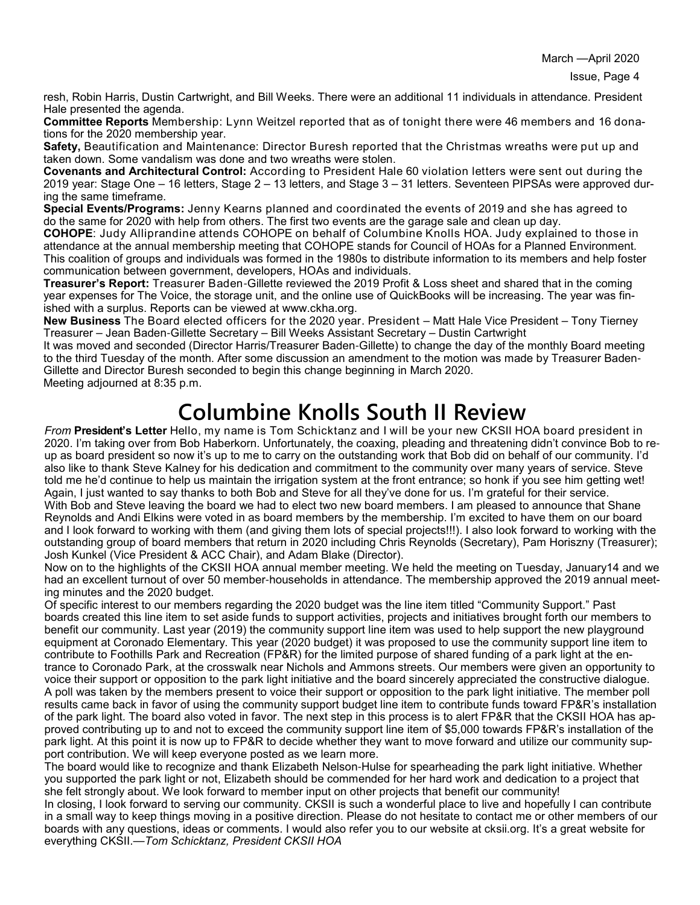March —April 2020

Issue, Page 4

resh, Robin Harris, Dustin Cartwright, and Bill Weeks. There were an additional 11 individuals in attendance. President Hale presented the agenda.

**Committee Reports** Membership: Lynn Weitzel reported that as of tonight there were 46 members and 16 donations for the 2020 membership year.

**Safety,** Beautification and Maintenance: Director Buresh reported that the Christmas wreaths were put up and taken down. Some vandalism was done and two wreaths were stolen.

**Covenants and Architectural Control:** According to President Hale 60 violation letters were sent out during the 2019 year: Stage One – 16 letters, Stage 2 – 13 letters, and Stage 3 – 31 letters. Seventeen PIPSAs were approved during the same timeframe.

**Special Events/Programs:** Jenny Kearns planned and coordinated the events of 2019 and she has agreed to do the same for 2020 with help from others. The first two events are the garage sale and clean up day.

**COHOPE**: Judy Alliprandine attends COHOPE on behalf of Columbine Knolls HOA. Judy explained to those in attendance at the annual membership meeting that COHOPE stands for Council of HOAs for a Planned Environment. This coalition of groups and individuals was formed in the 1980s to distribute information to its members and help foster communication between government, developers, HOAs and individuals.

**Treasurer's Report:** Treasurer Baden-Gillette reviewed the 2019 Profit & Loss sheet and shared that in the coming year expenses for The Voice, the storage unit, and the online use of QuickBooks will be increasing. The year was finished with a surplus. Reports can be viewed at www.ckha.org.

**New Business** The Board elected officers for the 2020 year. President – Matt Hale Vice President – Tony Tierney Treasurer – Jean Baden-Gillette Secretary – Bill Weeks Assistant Secretary – Dustin Cartwright

It was moved and seconded (Director Harris/Treasurer Baden-Gillette) to change the day of the monthly Board meeting to the third Tuesday of the month. After some discussion an amendment to the motion was made by Treasurer Baden-Gillette and Director Buresh seconded to begin this change beginning in March 2020.

Meeting adjourned at 8:35 p.m.

## **Columbine Knolls South II Review**

*From* **President's Letter** Hello, my name is Tom Schicktanz and I will be your new CKSII HOA board president in 2020. I'm taking over from Bob Haberkorn. Unfortunately, the coaxing, pleading and threatening didn't convince Bob to reup as board president so now it's up to me to carry on the outstanding work that Bob did on behalf of our community. I'd also like to thank Steve Kalney for his dedication and commitment to the community over many years of service. Steve told me he'd continue to help us maintain the irrigation system at the front entrance; so honk if you see him getting wet! Again, I just wanted to say thanks to both Bob and Steve for all they've done for us. I'm grateful for their service. With Bob and Steve leaving the board we had to elect two new board members. I am pleased to announce that Shane Reynolds and Andi Elkins were voted in as board members by the membership. I'm excited to have them on our board and I look forward to working with them (and giving them lots of special projects!!!). I also look forward to working with the outstanding group of board members that return in 2020 including Chris Reynolds (Secretary), Pam Horiszny (Treasurer); Josh Kunkel (Vice President & ACC Chair), and Adam Blake (Director).

Now on to the highlights of the CKSII HOA annual member meeting. We held the meeting on Tuesday, January14 and we had an excellent turnout of over 50 member-households in attendance. The membership approved the 2019 annual meeting minutes and the 2020 budget.

Of specific interest to our members regarding the 2020 budget was the line item titled "Community Support." Past boards created this line item to set aside funds to support activities, projects and initiatives brought forth our members to benefit our community. Last year (2019) the community support line item was used to help support the new playground equipment at Coronado Elementary. This year (2020 budget) it was proposed to use the community support line item to contribute to Foothills Park and Recreation (FP&R) for the limited purpose of shared funding of a park light at the entrance to Coronado Park, at the crosswalk near Nichols and Ammons streets. Our members were given an opportunity to voice their support or opposition to the park light initiative and the board sincerely appreciated the constructive dialogue. A poll was taken by the members present to voice their support or opposition to the park light initiative. The member poll results came back in favor of using the community support budget line item to contribute funds toward FP&R's installation of the park light. The board also voted in favor. The next step in this process is to alert FP&R that the CKSII HOA has approved contributing up to and not to exceed the community support line item of \$5,000 towards FP&R's installation of the park light. At this point it is now up to FP&R to decide whether they want to move forward and utilize our community support contribution. We will keep everyone posted as we learn more.

The board would like to recognize and thank Elizabeth Nelson-Hulse for spearheading the park light initiative. Whether you supported the park light or not, Elizabeth should be commended for her hard work and dedication to a project that she felt strongly about. We look forward to member input on other projects that benefit our community!

In closing, I look forward to serving our community. CKSII is such a wonderful place to live and hopefully I can contribute in a small way to keep things moving in a positive direction. Please do not hesitate to contact me or other members of our boards with any questions, ideas or comments. I would also refer you to our website at cksii.org. It's a great website for everything CKSII.—*Tom Schicktanz, President CKSII HOA*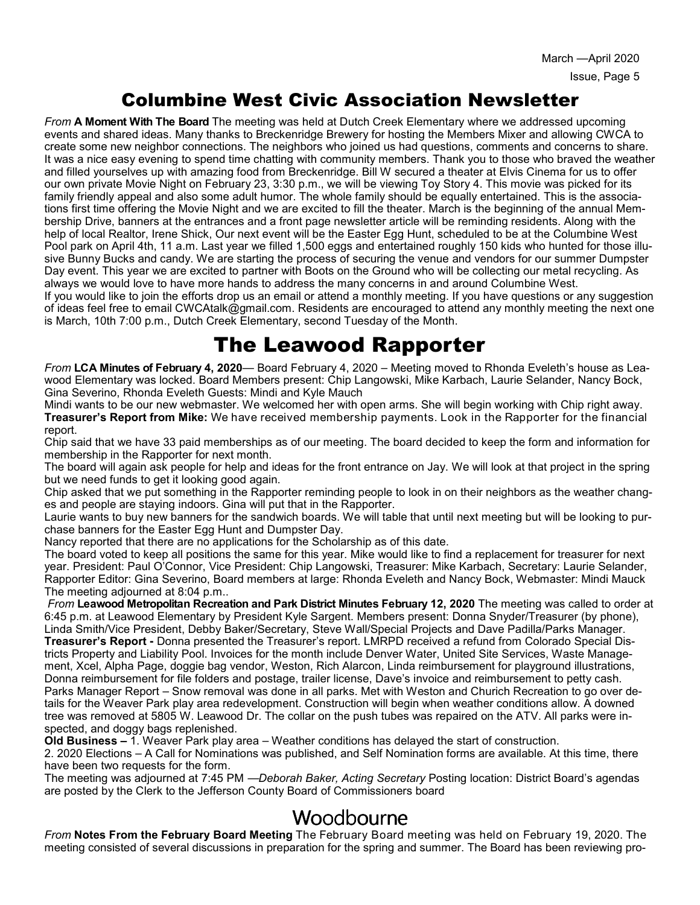#### Columbine West Civic Association Newsletter

*From* **A Moment With The Board** The meeting was held at Dutch Creek Elementary where we addressed upcoming events and shared ideas. Many thanks to Breckenridge Brewery for hosting the Members Mixer and allowing CWCA to create some new neighbor connections. The neighbors who joined us had questions, comments and concerns to share. It was a nice easy evening to spend time chatting with community members. Thank you to those who braved the weather and filled yourselves up with amazing food from Breckenridge. Bill W secured a theater at Elvis Cinema for us to offer our own private Movie Night on February 23, 3:30 p.m., we will be viewing Toy Story 4. This movie was picked for its family friendly appeal and also some adult humor. The whole family should be equally entertained. This is the associations first time offering the Movie Night and we are excited to fill the theater. March is the beginning of the annual Membership Drive, banners at the entrances and a front page newsletter article will be reminding residents. Along with the help of local Realtor, Irene Shick, Our next event will be the Easter Egg Hunt, scheduled to be at the Columbine West Pool park on April 4th, 11 a.m. Last year we filled 1,500 eggs and entertained roughly 150 kids who hunted for those illusive Bunny Bucks and candy. We are starting the process of securing the venue and vendors for our summer Dumpster Day event. This year we are excited to partner with Boots on the Ground who will be collecting our metal recycling. As always we would love to have more hands to address the many concerns in and around Columbine West.

If you would like to join the efforts drop us an email or attend a monthly meeting. If you have questions or any suggestion of ideas feel free to email CWCAtalk@gmail.com. Residents are encouraged to attend any monthly meeting the next one is March, 10th 7:00 p.m., Dutch Creek Elementary, second Tuesday of the Month.

### The Leawood Rapporter

*From* **LCA Minutes of February 4, 2020**— Board February 4, 2020 – Meeting moved to Rhonda Eveleth's house as Leawood Elementary was locked. Board Members present: Chip Langowski, Mike Karbach, Laurie Selander, Nancy Bock, Gina Severino, Rhonda Eveleth Guests: Mindi and Kyle Mauch

Mindi wants to be our new webmaster. We welcomed her with open arms. She will begin working with Chip right away. **Treasurer's Report from Mike:** We have received membership payments. Look in the Rapporter for the financial report.

Chip said that we have 33 paid memberships as of our meeting. The board decided to keep the form and information for membership in the Rapporter for next month.

The board will again ask people for help and ideas for the front entrance on Jay. We will look at that project in the spring but we need funds to get it looking good again.

Chip asked that we put something in the Rapporter reminding people to look in on their neighbors as the weather changes and people are staying indoors. Gina will put that in the Rapporter.

Laurie wants to buy new banners for the sandwich boards. We will table that until next meeting but will be looking to purchase banners for the Easter Egg Hunt and Dumpster Day.

Nancy reported that there are no applications for the Scholarship as of this date.

The board voted to keep all positions the same for this year. Mike would like to find a replacement for treasurer for next year. President: Paul O'Connor, Vice President: Chip Langowski, Treasurer: Mike Karbach, Secretary: Laurie Selander, Rapporter Editor: Gina Severino, Board members at large: Rhonda Eveleth and Nancy Bock, Webmaster: Mindi Mauck The meeting adjourned at 8:04 p.m..

*From* **Leawood Metropolitan Recreation and Park District Minutes February 12, 2020** The meeting was called to order at 6:45 p.m. at Leawood Elementary by President Kyle Sargent. Members present: Donna Snyder/Treasurer (by phone), Linda Smith/Vice President, Debby Baker/Secretary, Steve Wall/Special Projects and Dave Padilla/Parks Manager. **Treasurer's Report -** Donna presented the Treasurer's report. LMRPD received a refund from Colorado Special Districts Property and Liability Pool. Invoices for the month include Denver Water, United Site Services, Waste Management, Xcel, Alpha Page, doggie bag vendor, Weston, Rich Alarcon, Linda reimbursement for playground illustrations, Donna reimbursement for file folders and postage, trailer license, Dave's invoice and reimbursement to petty cash. Parks Manager Report – Snow removal was done in all parks. Met with Weston and Churich Recreation to go over details for the Weaver Park play area redevelopment. Construction will begin when weather conditions allow. A downed tree was removed at 5805 W. Leawood Dr. The collar on the push tubes was repaired on the ATV. All parks were inspected, and doggy bags replenished.

**Old Business –** 1. Weaver Park play area – Weather conditions has delayed the start of construction.

2. 2020 Elections – A Call for Nominations was published, and Self Nomination forms are available. At this time, there have been two requests for the form.

The meeting was adjourned at 7:45 PM —*Deborah Baker, Acting Secretary* Posting location: District Board's agendas are posted by the Clerk to the Jefferson County Board of Commissioners board

#### Woodbourne

*From* **Notes From the February Board Meeting** The February Board meeting was held on February 19, 2020. The meeting consisted of several discussions in preparation for the spring and summer. The Board has been reviewing pro-